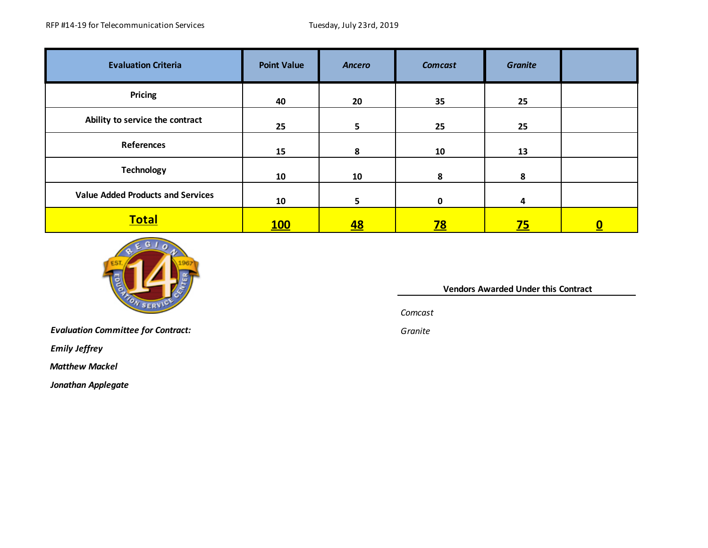| <b>Evaluation Criteria</b>               | <b>Point Value</b> | <b>Ancero</b> | <b>Comcast</b> | <b>Granite</b> |          |
|------------------------------------------|--------------------|---------------|----------------|----------------|----------|
| <b>Pricing</b>                           | 40                 | 20            | 35             | 25             |          |
| Ability to service the contract          | 25                 | 5             | 25             | 25             |          |
| <b>References</b>                        | 15                 | 8             | 10             | 13             |          |
| <b>Technology</b>                        | 10                 | 10            | 8              | 8              |          |
| <b>Value Added Products and Services</b> | 10                 | 5.            | $\mathbf{0}$   | 4              |          |
| <b>Total</b>                             | <u>100</u>         | <u>48</u>     | <u>78</u>      | <u>75</u>      | <u>0</u> |



*Evaluation Committee for Contract: Granite*

*Emily Jeffrey*

 *Matthew Mackel*

*Jonathan Applegate*

 **Vendors Awarded Under this Contract** 

*Comcast*